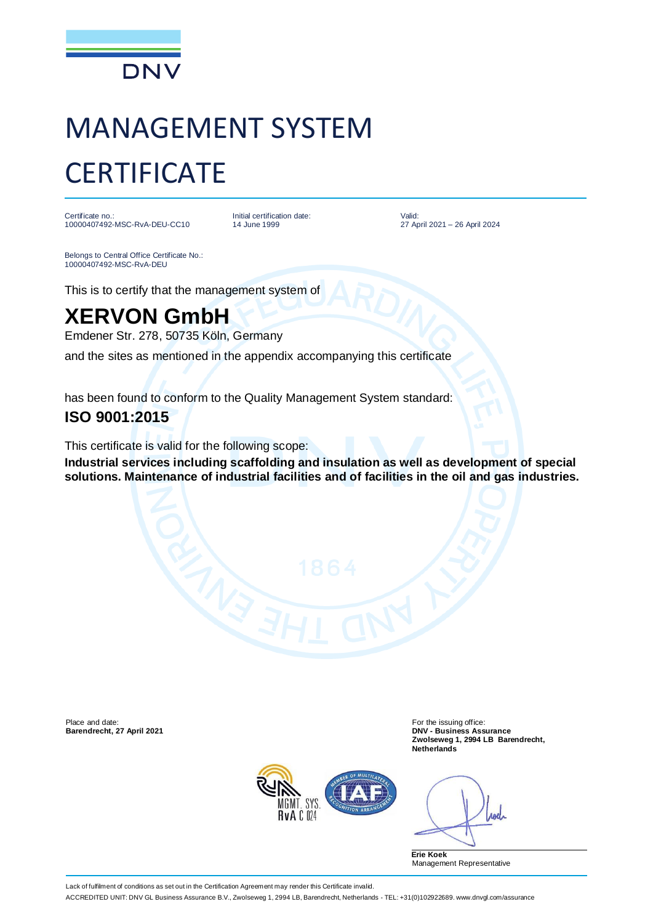

# MANAGEMENT SYSTEM **CERTIFICATE**

Certificate no.: 10000407492-MSC-RvA-DEU-CC10 Initial certification date: 14 June 1999

Valid: 27 April 2021 – 26 April 2024

Belongs to Central Office Certificate No.: 10000407492-MSC-RvA-DEU

This is to certify that the management system of

## **XERVON GmbH**

Emdener Str. 278, 50735 Köln, Germany

and the sites as mentioned in the appendix accompanying this certificate

has been found to conform to the Quality Management System standard:

#### **ISO 9001:2015**

This certificate is valid for the following scope:

**Industrial services including scaffolding and insulation as well as development of special solutions. Maintenance of industrial facilities and of facilities in the oil and gas industries.**

Place and date: For the issuing office:<br> **Barendrecht, 27 April 2021** Contract Contract Contract Contract Contract Contract Contract Contract Contract Con

**Barendrecht, 27 April 2021 DNV - Business Assurance Zwolseweg 1, 2994 LB Barendrecht, Netherlands**



**And** 

**Erie Koek** Management Representative

Lack of fulfilment of conditions as set out in the Certification Agreement may render this Certificate invalid.

ACCREDITED UNIT: DNV GL Business Assurance B.V., Zwolseweg 1, 2994 LB, Barendrecht, Netherlands - TEL: +31(0)102922689. www.dnvgl.com/assurance